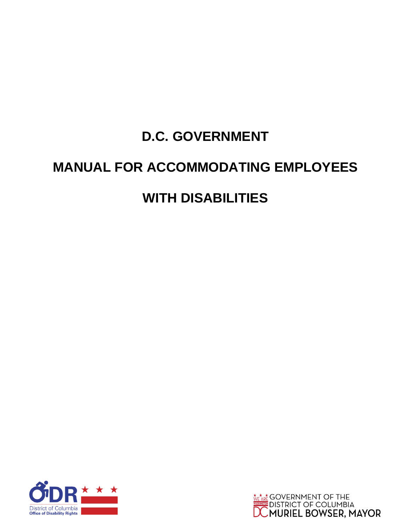# **D.C. GOVERNMENT**

# **MANUAL FOR ACCOMMODATING EMPLOYEES WITH DISABILITIES**



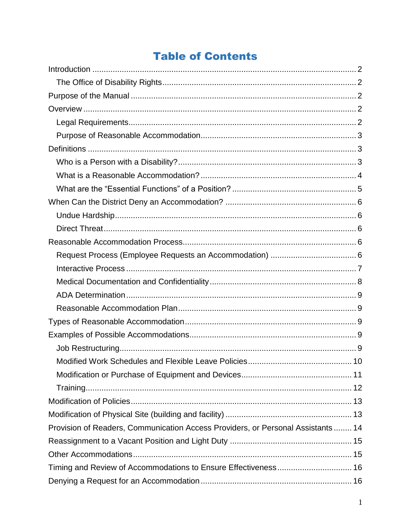# **Table of Contents**

| Provision of Readers, Communication Access Providers, or Personal Assistants  14 |
|----------------------------------------------------------------------------------|
|                                                                                  |
|                                                                                  |
| Timing and Review of Accommodations to Ensure Effectiveness 16                   |
|                                                                                  |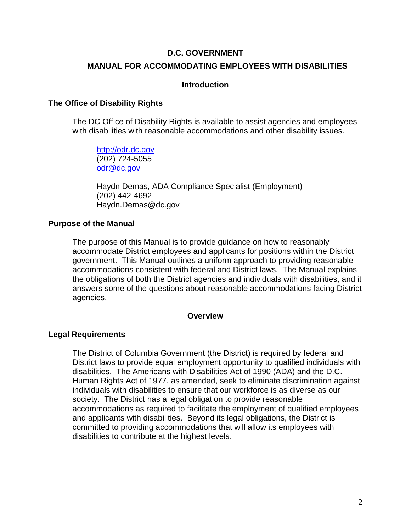## **D.C. GOVERNMENT**

#### **MANUAL FOR ACCOMMODATING EMPLOYEES WITH DISABILITIES**

#### **Introduction**

#### <span id="page-2-1"></span><span id="page-2-0"></span>**The Office of Disability Rights**

The DC Office of Disability Rights is available to assist agencies and employees with disabilities with reasonable accommodations and other disability issues.

[http://odr.dc.gov](http://odr.dc.gov/) (202) 724-5055 [odr@dc.gov](mailto:odr@dc.gov)

Haydn Demas, ADA Compliance Specialist (Employment) (202) 442-4692 Haydn.Demas@dc.gov

#### <span id="page-2-2"></span>**Purpose of the Manual**

The purpose of this Manual is to provide guidance on how to reasonably accommodate District employees and applicants for positions within the District government. This Manual outlines a uniform approach to providing reasonable accommodations consistent with federal and District laws. The Manual explains the obligations of both the District agencies and individuals with disabilities, and it answers some of the questions about reasonable accommodations facing District agencies.

#### **Overview**

#### <span id="page-2-4"></span><span id="page-2-3"></span>**Legal Requirements**

The District of Columbia Government (the District) is required by federal and District laws to provide equal employment opportunity to qualified individuals with disabilities. The Americans with Disabilities Act of 1990 (ADA) and the D.C. Human Rights Act of 1977, as amended, seek to eliminate discrimination against individuals with disabilities to ensure that our workforce is as diverse as our society. The District has a legal obligation to provide reasonable accommodations as required to facilitate the employment of qualified employees and applicants with disabilities. Beyond its legal obligations, the District is committed to providing accommodations that will allow its employees with disabilities to contribute at the highest levels.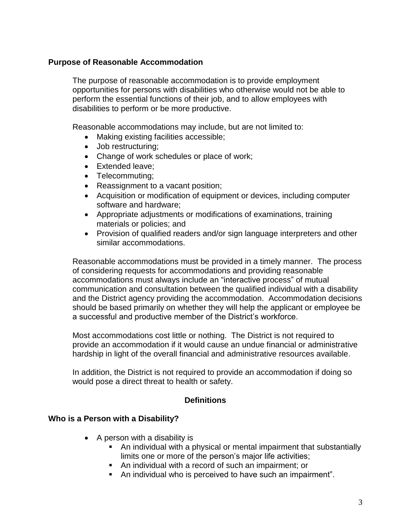# <span id="page-3-0"></span>**Purpose of Reasonable Accommodation**

The purpose of reasonable accommodation is to provide employment opportunities for persons with disabilities who otherwise would not be able to perform the essential functions of their job, and to allow employees with disabilities to perform or be more productive.

Reasonable accommodations may include, but are not limited to:

- Making existing facilities accessible;
- Job restructuring;
- Change of work schedules or place of work;
- Extended leave;
- Telecommuting;
- Reassignment to a vacant position;
- Acquisition or modification of equipment or devices, including computer software and hardware;
- Appropriate adjustments or modifications of examinations, training materials or policies; and
- Provision of qualified readers and/or sign language interpreters and other similar accommodations.

Reasonable accommodations must be provided in a timely manner. The process of considering requests for accommodations and providing reasonable accommodations must always include an "interactive process" of mutual communication and consultation between the qualified individual with a disability and the District agency providing the accommodation. Accommodation decisions should be based primarily on whether they will help the applicant or employee be a successful and productive member of the District's workforce.

Most accommodations cost little or nothing. The District is not required to provide an accommodation if it would cause an undue financial or administrative hardship in light of the overall financial and administrative resources available.

In addition, the District is not required to provide an accommodation if doing so would pose a direct threat to health or safety.

# **Definitions**

#### <span id="page-3-2"></span><span id="page-3-1"></span>**Who is a Person with a Disability?**

- A person with a disability is
	- An individual with a physical or mental impairment that substantially limits one or more of the person's major life activities;
	- An individual with a record of such an impairment; or
	- An individual who is perceived to have such an impairment".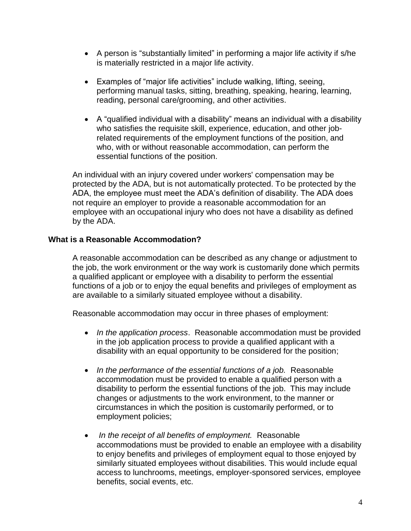- A person is "substantially limited" in performing a major life activity if s/he is materially restricted in a major life activity.
- Examples of "major life activities" include walking, lifting, seeing, performing manual tasks, sitting, breathing, speaking, hearing, learning, reading, personal care/grooming, and other activities.
- A "qualified individual with a disability" means an individual with a disability who satisfies the requisite skill, experience, education, and other jobrelated requirements of the employment functions of the position, and who, with or without reasonable accommodation, can perform the essential functions of the position.

An individual with an injury covered under workers' compensation may be protected by the ADA, but is not automatically protected. To be protected by the ADA, the employee must meet the ADA's definition of disability. The ADA does not require an employer to provide a reasonable accommodation for an employee with an occupational injury who does not have a disability as defined by the ADA.

# <span id="page-4-0"></span>**What is a Reasonable Accommodation?**

A reasonable accommodation can be described as any change or adjustment to the job, the work environment or the way work is customarily done which permits a qualified applicant or employee with a disability to perform the essential functions of a job or to enjoy the equal benefits and privileges of employment as are available to a similarly situated employee without a disability.

Reasonable accommodation may occur in three phases of employment:

- *In the application process*. Reasonable accommodation must be provided in the job application process to provide a qualified applicant with a disability with an equal opportunity to be considered for the position;
- In the performance of the essential functions of a job. Reasonable accommodation must be provided to enable a qualified person with a disability to perform the essential functions of the job. This may include changes or adjustments to the work environment, to the manner or circumstances in which the position is customarily performed, or to employment policies;
- *In the receipt of all benefits of employment.* Reasonable accommodations must be provided to enable an employee with a disability to enjoy benefits and privileges of employment equal to those enjoyed by similarly situated employees without disabilities. This would include equal access to lunchrooms, meetings, employer-sponsored services, employee benefits, social events, etc.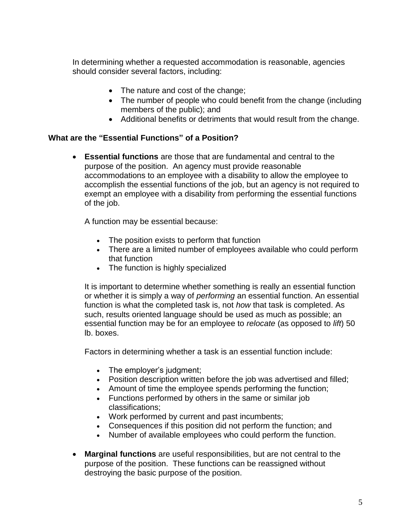In determining whether a requested accommodation is reasonable, agencies should consider several factors, including:

- The nature and cost of the change;
- The number of people who could benefit from the change (including members of the public); and
- Additional benefits or detriments that would result from the change.

# <span id="page-5-0"></span>**What are the "Essential Functions" of a Position?**

 **Essential functions** are those that are fundamental and central to the purpose of the position. An agency must provide reasonable accommodations to an employee with a disability to allow the employee to accomplish the essential functions of the job, but an agency is not required to exempt an employee with a disability from performing the essential functions of the job.

A function may be essential because:

- The position exists to perform that function
- There are a limited number of employees available who could perform that function
- The function is highly specialized

It is important to determine whether something is really an essential function or whether it is simply a way of *performing* an essential function. An essential function is what the completed task is, not *how* that task is completed. As such, results oriented language should be used as much as possible; an essential function may be for an employee to *relocate* (as opposed to *lift*) 50 lb. boxes.

Factors in determining whether a task is an essential function include:

- The employer's judgment;
- Position description written before the job was advertised and filled;
- Amount of time the employee spends performing the function;
- Functions performed by others in the same or similar job classifications;
- Work performed by current and past incumbents;
- Consequences if this position did not perform the function; and
- Number of available employees who could perform the function.
- **Marginal functions** are useful responsibilities, but are not central to the purpose of the position. These functions can be reassigned without destroying the basic purpose of the position.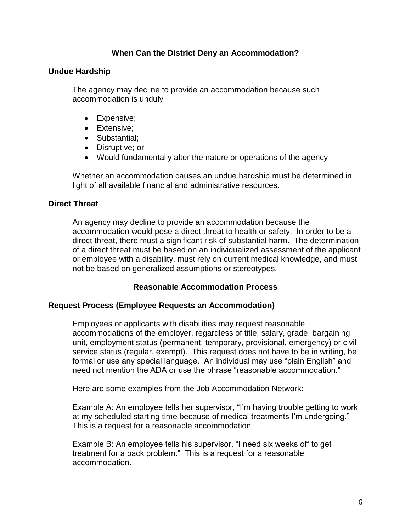# **When Can the District Deny an Accommodation?**

# <span id="page-6-1"></span><span id="page-6-0"></span>**Undue Hardship**

The agency may decline to provide an accommodation because such accommodation is unduly

- Expensive;
- Extensive:
- Substantial;
- Disruptive; or
- Would fundamentally alter the nature or operations of the agency

Whether an accommodation causes an undue hardship must be determined in light of all available financial and administrative resources.

# <span id="page-6-2"></span>**Direct Threat**

An agency may decline to provide an accommodation because the accommodation would pose a direct threat to health or safety. In order to be a direct threat, there must a significant risk of substantial harm. The determination of a direct threat must be based on an individualized assessment of the applicant or employee with a disability, must rely on current medical knowledge, and must not be based on generalized assumptions or stereotypes.

# **Reasonable Accommodation Process**

# <span id="page-6-4"></span><span id="page-6-3"></span>**Request Process (Employee Requests an Accommodation)**

Employees or applicants with disabilities may request reasonable accommodations of the employer, regardless of title, salary, grade, bargaining unit, employment status (permanent, temporary, provisional, emergency) or civil service status (regular, exempt). This request does not have to be in writing, be formal or use any special language. An individual may use "plain English" and need not mention the ADA or use the phrase "reasonable accommodation."

Here are some examples from the Job Accommodation Network:

Example A: An employee tells her supervisor, "I'm having trouble getting to work at my scheduled starting time because of medical treatments I'm undergoing." This is a request for a reasonable accommodation

Example B: An employee tells his supervisor, "I need six weeks off to get treatment for a back problem." This is a request for a reasonable accommodation.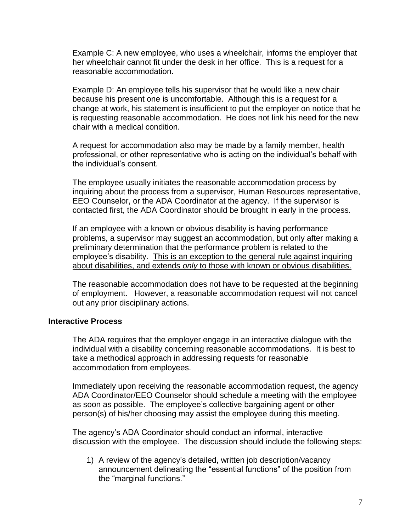Example C: A new employee, who uses a wheelchair, informs the employer that her wheelchair cannot fit under the desk in her office. This is a request for a reasonable accommodation.

Example D: An employee tells his supervisor that he would like a new chair because his present one is uncomfortable. Although this is a request for a change at work, his statement is insufficient to put the employer on notice that he is requesting reasonable accommodation. He does not link his need for the new chair with a medical condition.

A request for accommodation also may be made by a family member, health professional, or other representative who is acting on the individual's behalf with the individual's consent.

The employee usually initiates the reasonable accommodation process by inquiring about the process from a supervisor, Human Resources representative, EEO Counselor, or the ADA Coordinator at the agency. If the supervisor is contacted first, the ADA Coordinator should be brought in early in the process.

If an employee with a known or obvious disability is having performance problems, a supervisor may suggest an accommodation, but only after making a preliminary determination that the performance problem is related to the employee's disability. This is an exception to the general rule against inquiring about disabilities, and extends *only* to those with known or obvious disabilities.

The reasonable accommodation does not have to be requested at the beginning of employment. However, a reasonable accommodation request will not cancel out any prior disciplinary actions.

#### <span id="page-7-0"></span>**Interactive Process**

The ADA requires that the employer engage in an interactive dialogue with the individual with a disability concerning reasonable accommodations. It is best to take a methodical approach in addressing requests for reasonable accommodation from employees.

Immediately upon receiving the reasonable accommodation request, the agency ADA Coordinator/EEO Counselor should schedule a meeting with the employee as soon as possible. The employee's collective bargaining agent or other person(s) of his/her choosing may assist the employee during this meeting.

The agency's ADA Coordinator should conduct an informal, interactive discussion with the employee. The discussion should include the following steps:

1) A review of the agency's detailed, written job description/vacancy announcement delineating the "essential functions" of the position from the "marginal functions."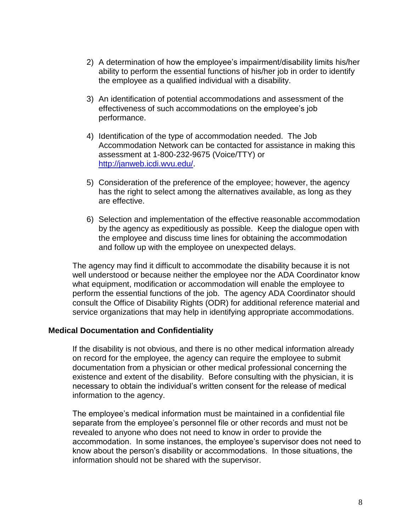- 2) A determination of how the employee's impairment/disability limits his/her ability to perform the essential functions of his/her job in order to identify the employee as a qualified individual with a disability.
- 3) An identification of potential accommodations and assessment of the effectiveness of such accommodations on the employee's job performance.
- 4) Identification of the type of accommodation needed. The Job Accommodation Network can be contacted for assistance in making this assessment at 1-800-232-9675 (Voice/TTY) or [http://janweb.icdi.wvu.edu/.](http://janweb.icdi.wvu.edu/)
- 5) Consideration of the preference of the employee; however, the agency has the right to select among the alternatives available, as long as they are effective.
- 6) Selection and implementation of the effective reasonable accommodation by the agency as expeditiously as possible. Keep the dialogue open with the employee and discuss time lines for obtaining the accommodation and follow up with the employee on unexpected delays.

The agency may find it difficult to accommodate the disability because it is not well understood or because neither the employee nor the ADA Coordinator know what equipment, modification or accommodation will enable the employee to perform the essential functions of the job. The agency ADA Coordinator should consult the Office of Disability Rights (ODR) for additional reference material and service organizations that may help in identifying appropriate accommodations.

# <span id="page-8-0"></span>**Medical Documentation and Confidentiality**

If the disability is not obvious, and there is no other medical information already on record for the employee, the agency can require the employee to submit documentation from a physician or other medical professional concerning the existence and extent of the disability. Before consulting with the physician, it is necessary to obtain the individual's written consent for the release of medical information to the agency.

The employee's medical information must be maintained in a confidential file separate from the employee's personnel file or other records and must not be revealed to anyone who does not need to know in order to provide the accommodation. In some instances, the employee's supervisor does not need to know about the person's disability or accommodations. In those situations, the information should not be shared with the supervisor.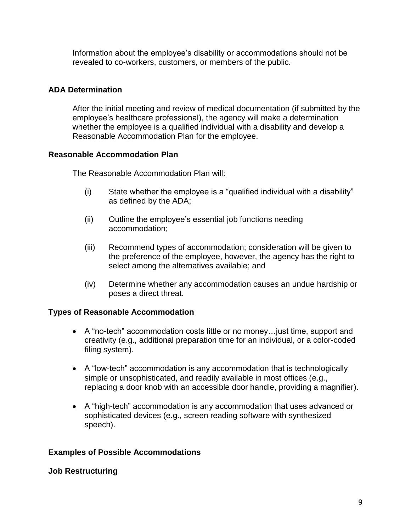Information about the employee's disability or accommodations should not be revealed to co-workers, customers, or members of the public.

# <span id="page-9-0"></span>**ADA Determination**

After the initial meeting and review of medical documentation (if submitted by the employee's healthcare professional), the agency will make a determination whether the employee is a qualified individual with a disability and develop a Reasonable Accommodation Plan for the employee.

# <span id="page-9-1"></span>**Reasonable Accommodation Plan**

The Reasonable Accommodation Plan will:

- (i) State whether the employee is a "qualified individual with a disability" as defined by the ADA;
- (ii) Outline the employee's essential job functions needing accommodation;
- (iii) Recommend types of accommodation; consideration will be given to the preference of the employee, however, the agency has the right to select among the alternatives available; and
- (iv) Determine whether any accommodation causes an undue hardship or poses a direct threat.

# <span id="page-9-2"></span>**Types of Reasonable Accommodation**

- A "no-tech" accommodation costs little or no money…just time, support and creativity (e.g., additional preparation time for an individual, or a color-coded filing system).
- A "low-tech" accommodation is any accommodation that is technologically simple or unsophisticated, and readily available in most offices (e.g., replacing a door knob with an accessible door handle, providing a magnifier).
- A "high-tech" accommodation is any accommodation that uses advanced or sophisticated devices (e.g., screen reading software with synthesized speech).

# <span id="page-9-3"></span>**Examples of Possible Accommodations**

# <span id="page-9-4"></span>**Job Restructuring**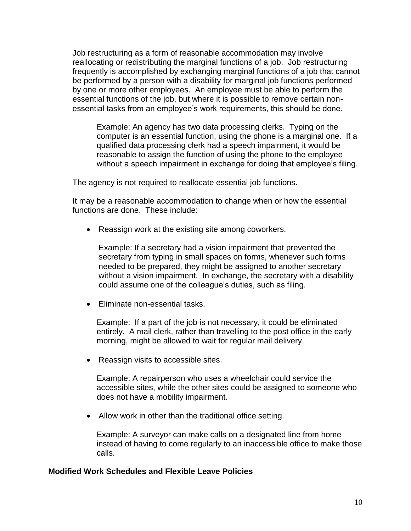Job restructuring as a form of reasonable accommodation may involve reallocating or redistributing the marginal functions of a job. Job restructuring frequently is accomplished by exchanging marginal functions of a job that cannot be performed by a person with a disability for marginal job functions performed by one or more other employees. An employee must be able to perform the essential functions of the job, but where it is possible to remove certain nonessential tasks from an employee's work requirements, this should be done.

Example: An agency has two data processing clerks. Typing on the computer is an essential function, using the phone is a marginal one. If a qualified data processing clerk had a speech impairment, it would be reasonable to assign the function of using the phone to the employee without a speech impairment in exchange for doing that employee's filing.

The agency is not required to reallocate essential job functions.

It may be a reasonable accommodation to change when or how the essential functions are done. These include:

• Reassign work at the existing site among coworkers.

Example: If a secretary had a vision impairment that prevented the secretary from typing in small spaces on forms, whenever such forms needed to be prepared, they might be assigned to another secretary without a vision impairment. In exchange, the secretary with a disability could assume one of the colleague's duties, such as filing.

• Eliminate non-essential tasks.

Example: If a part of the job is not necessary, it could be eliminated entirely. A mail clerk, rather than travelling to the post office in the early morning, might be allowed to wait for regular mail delivery.

• Reassign visits to accessible sites.

Example: A repairperson who uses a wheelchair could service the accessible sites, while the other sites could be assigned to someone who does not have a mobility impairment.

• Allow work in other than the traditional office setting.

Example: A surveyor can make calls on a designated line from home instead of having to come regularly to an inaccessible office to make those calls.

# <span id="page-10-0"></span>**Modified Work Schedules and Flexible Leave Policies**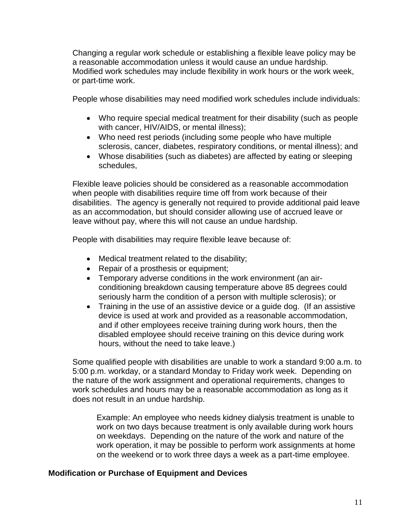Changing a regular work schedule or establishing a flexible leave policy may be a reasonable accommodation unless it would cause an undue hardship. Modified work schedules may include flexibility in work hours or the work week, or part-time work.

People whose disabilities may need modified work schedules include individuals:

- Who require special medical treatment for their disability (such as people with cancer, HIV/AIDS, or mental illness);
- Who need rest periods (including some people who have multiple sclerosis, cancer, diabetes, respiratory conditions, or mental illness); and
- Whose disabilities (such as diabetes) are affected by eating or sleeping schedules,

Flexible leave policies should be considered as a reasonable accommodation when people with disabilities require time off from work because of their disabilities. The agency is generally not required to provide additional paid leave as an accommodation, but should consider allowing use of accrued leave or leave without pay, where this will not cause an undue hardship.

People with disabilities may require flexible leave because of:

- Medical treatment related to the disability;
- Repair of a prosthesis or equipment;
- Temporary adverse conditions in the work environment (an airconditioning breakdown causing temperature above 85 degrees could seriously harm the condition of a person with multiple sclerosis); or
- Training in the use of an assistive device or a quide dog. (If an assistive device is used at work and provided as a reasonable accommodation, and if other employees receive training during work hours, then the disabled employee should receive training on this device during work hours, without the need to take leave.)

Some qualified people with disabilities are unable to work a standard 9:00 a.m. to 5:00 p.m. workday, or a standard Monday to Friday work week. Depending on the nature of the work assignment and operational requirements, changes to work schedules and hours may be a reasonable accommodation as long as it does not result in an undue hardship.

Example: An employee who needs kidney dialysis treatment is unable to work on two days because treatment is only available during work hours on weekdays. Depending on the nature of the work and nature of the work operation, it may be possible to perform work assignments at home on the weekend or to work three days a week as a part-time employee.

# <span id="page-11-0"></span>**Modification or Purchase of Equipment and Devices**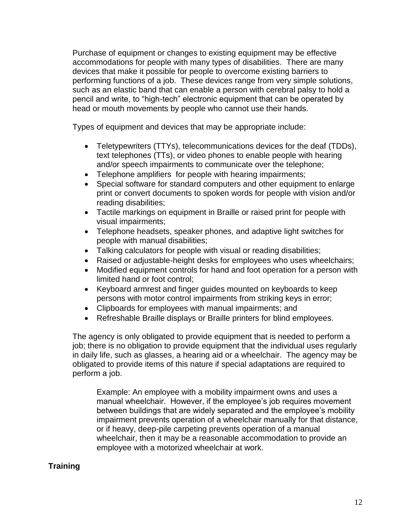Purchase of equipment or changes to existing equipment may be effective accommodations for people with many types of disabilities. There are many devices that make it possible for people to overcome existing barriers to performing functions of a job. These devices range from very simple solutions, such as an elastic band that can enable a person with cerebral palsy to hold a pencil and write, to "high-tech" electronic equipment that can be operated by head or mouth movements by people who cannot use their hands.

Types of equipment and devices that may be appropriate include:

- Teletypewriters (TTYs), telecommunications devices for the deaf (TDDs), text telephones (TTs), or video phones to enable people with hearing and/or speech impairments to communicate over the telephone;
- Telephone amplifiers for people with hearing impairments;
- Special software for standard computers and other equipment to enlarge print or convert documents to spoken words for people with vision and/or reading disabilities;
- Tactile markings on equipment in Braille or raised print for people with visual impairments;
- Telephone headsets, speaker phones, and adaptive light switches for people with manual disabilities;
- Talking calculators for people with visual or reading disabilities;
- Raised or adjustable-height desks for employees who uses wheelchairs;
- Modified equipment controls for hand and foot operation for a person with limited hand or foot control;
- Keyboard armrest and finger guides mounted on keyboards to keep persons with motor control impairments from striking keys in error;
- Clipboards for employees with manual impairments; and
- Refreshable Braille displays or Braille printers for blind employees.

The agency is only obligated to provide equipment that is needed to perform a job; there is no obligation to provide equipment that the individual uses regularly in daily life, such as glasses, a hearing aid or a wheelchair. The agency may be obligated to provide items of this nature if special adaptations are required to perform a job.

Example: An employee with a mobility impairment owns and uses a manual wheelchair. However, if the employee's job requires movement between buildings that are widely separated and the employee's mobility impairment prevents operation of a wheelchair manually for that distance, or if heavy, deep-pile carpeting prevents operation of a manual wheelchair, then it may be a reasonable accommodation to provide an employee with a motorized wheelchair at work.

# <span id="page-12-0"></span>**Training**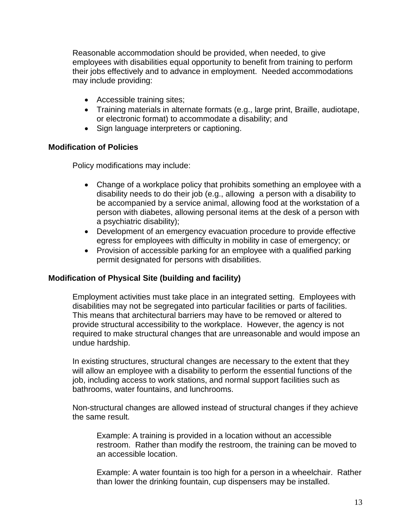Reasonable accommodation should be provided, when needed, to give employees with disabilities equal opportunity to benefit from training to perform their jobs effectively and to advance in employment. Needed accommodations may include providing:

- Accessible training sites;
- Training materials in alternate formats (e.g., large print, Braille, audiotape, or electronic format) to accommodate a disability; and
- Sign language interpreters or captioning.

# <span id="page-13-0"></span>**Modification of Policies**

Policy modifications may include:

- Change of a workplace policy that prohibits something an employee with a disability needs to do their job (e.g., allowing a person with a disability to be accompanied by a service animal, allowing food at the workstation of a person with diabetes, allowing personal items at the desk of a person with a psychiatric disability);
- Development of an emergency evacuation procedure to provide effective egress for employees with difficulty in mobility in case of emergency; or
- Provision of accessible parking for an employee with a qualified parking permit designated for persons with disabilities.

# <span id="page-13-1"></span>**Modification of Physical Site (building and facility)**

Employment activities must take place in an integrated setting. Employees with disabilities may not be segregated into particular facilities or parts of facilities. This means that architectural barriers may have to be removed or altered to provide structural accessibility to the workplace. However, the agency is not required to make structural changes that are unreasonable and would impose an undue hardship.

In existing structures, structural changes are necessary to the extent that they will allow an employee with a disability to perform the essential functions of the job, including access to work stations, and normal support facilities such as bathrooms, water fountains, and lunchrooms.

Non-structural changes are allowed instead of structural changes if they achieve the same result.

Example: A training is provided in a location without an accessible restroom. Rather than modify the restroom, the training can be moved to an accessible location.

Example: A water fountain is too high for a person in a wheelchair. Rather than lower the drinking fountain, cup dispensers may be installed.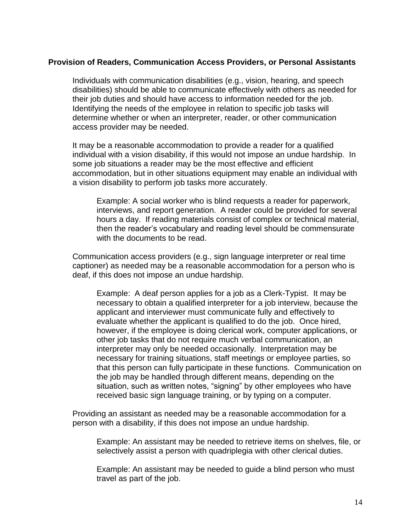# <span id="page-14-0"></span>**Provision of Readers, Communication Access Providers, or Personal Assistants**

Individuals with communication disabilities (e.g., vision, hearing, and speech disabilities) should be able to communicate effectively with others as needed for their job duties and should have access to information needed for the job. Identifying the needs of the employee in relation to specific job tasks will determine whether or when an interpreter, reader, or other communication access provider may be needed.

It may be a reasonable accommodation to provide a reader for a qualified individual with a vision disability, if this would not impose an undue hardship. In some job situations a reader may be the most effective and efficient accommodation, but in other situations equipment may enable an individual with a vision disability to perform job tasks more accurately.

Example: A social worker who is blind requests a reader for paperwork, interviews, and report generation. A reader could be provided for several hours a day. If reading materials consist of complex or technical material, then the reader's vocabulary and reading level should be commensurate with the documents to be read.

Communication access providers (e.g., sign language interpreter or real time captioner) as needed may be a reasonable accommodation for a person who is deaf, if this does not impose an undue hardship.

Example: A deaf person applies for a job as a Clerk-Typist. It may be necessary to obtain a qualified interpreter for a job interview, because the applicant and interviewer must communicate fully and effectively to evaluate whether the applicant is qualified to do the job. Once hired, however, if the employee is doing clerical work, computer applications, or other job tasks that do not require much verbal communication, an interpreter may only be needed occasionally. Interpretation may be necessary for training situations, staff meetings or employee parties, so that this person can fully participate in these functions. Communication on the job may be handled through different means, depending on the situation, such as written notes, "signing" by other employees who have received basic sign language training, or by typing on a computer.

Providing an assistant as needed may be a reasonable accommodation for a person with a disability, if this does not impose an undue hardship.

Example: An assistant may be needed to retrieve items on shelves, file, or selectively assist a person with quadriplegia with other clerical duties.

Example: An assistant may be needed to guide a blind person who must travel as part of the job.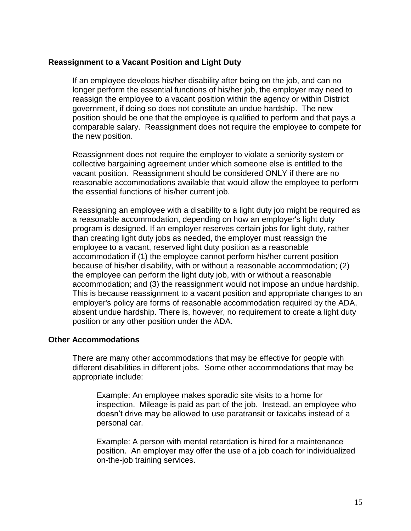# <span id="page-15-0"></span>**Reassignment to a Vacant Position and Light Duty**

If an employee develops his/her disability after being on the job, and can no longer perform the essential functions of his/her job, the employer may need to reassign the employee to a vacant position within the agency or within District government, if doing so does not constitute an undue hardship. The new position should be one that the employee is qualified to perform and that pays a comparable salary. Reassignment does not require the employee to compete for the new position.

Reassignment does not require the employer to violate a seniority system or collective bargaining agreement under which someone else is entitled to the vacant position. Reassignment should be considered ONLY if there are no reasonable accommodations available that would allow the employee to perform the essential functions of his/her current job.

Reassigning an employee with a disability to a light duty job might be required as a reasonable accommodation, depending on how an employer's light duty program is designed. If an employer reserves certain jobs for light duty, rather than creating light duty jobs as needed, the employer must reassign the employee to a vacant, reserved light duty position as a reasonable accommodation if (1) the employee cannot perform his/her current position because of his/her disability, with or without a reasonable accommodation; (2) the employee can perform the light duty job, with or without a reasonable accommodation; and (3) the reassignment would not impose an undue hardship. This is because reassignment to a vacant position and appropriate changes to an employer's policy are forms of reasonable accommodation required by the ADA, absent undue hardship. There is, however, no requirement to create a light duty position or any other position under the ADA.

# <span id="page-15-1"></span>**Other Accommodations**

There are many other accommodations that may be effective for people with different disabilities in different jobs. Some other accommodations that may be appropriate include:

Example: An employee makes sporadic site visits to a home for inspection. Mileage is paid as part of the job. Instead, an employee who doesn't drive may be allowed to use paratransit or taxicabs instead of a personal car.

Example: A person with mental retardation is hired for a maintenance position. An employer may offer the use of a job coach for individualized on-the-job training services.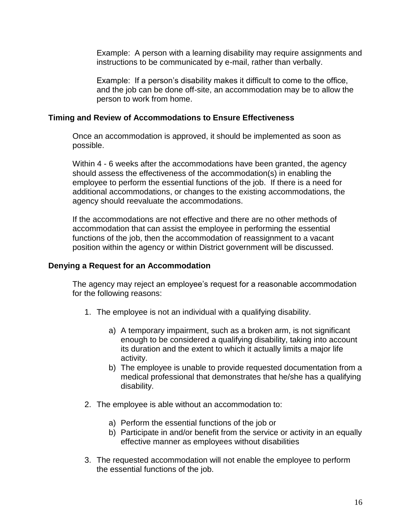Example: A person with a learning disability may require assignments and instructions to be communicated by e-mail, rather than verbally.

Example: If a person's disability makes it difficult to come to the office, and the job can be done off-site, an accommodation may be to allow the person to work from home.

### <span id="page-16-0"></span>**Timing and Review of Accommodations to Ensure Effectiveness**

Once an accommodation is approved, it should be implemented as soon as possible.

Within 4 - 6 weeks after the accommodations have been granted, the agency should assess the effectiveness of the accommodation(s) in enabling the employee to perform the essential functions of the job. If there is a need for additional accommodations, or changes to the existing accommodations, the agency should reevaluate the accommodations.

If the accommodations are not effective and there are no other methods of accommodation that can assist the employee in performing the essential functions of the job, then the accommodation of reassignment to a vacant position within the agency or within District government will be discussed.

#### <span id="page-16-1"></span>**Denying a Request for an Accommodation**

The agency may reject an employee's request for a reasonable accommodation for the following reasons:

- 1. The employee is not an individual with a qualifying disability.
	- a) A temporary impairment, such as a broken arm, is not significant enough to be considered a qualifying disability, taking into account its duration and the extent to which it actually limits a major life activity.
	- b) The employee is unable to provide requested documentation from a medical professional that demonstrates that he/she has a qualifying disability.
- 2. The employee is able without an accommodation to:
	- a) Perform the essential functions of the job or
	- b) Participate in and/or benefit from the service or activity in an equally effective manner as employees without disabilities
- 3. The requested accommodation will not enable the employee to perform the essential functions of the job.